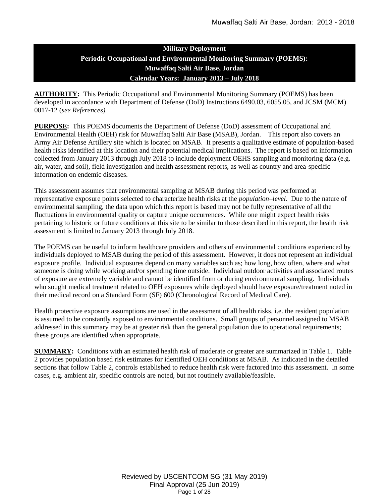# **Military Deployment Periodic Occupational and Environmental Monitoring Summary (POEMS): Muwaffaq Salti Air Base, Jordan Calendar Years: January 2013 – July 2018**

**AUTHORITY:** This Periodic Occupational and Environmental Monitoring Summary (POEMS) has been developed in accordance with Department of Defense (DoD) Instructions 6490.03, 6055.05, and JCSM (MCM) 0017-12 (*see References).*

**PURPOSE:** This POEMS documents the Department of Defense (DoD) assessment of Occupational and Environmental Health (OEH) risk for Muwaffaq Salti Air Base (MSAB), Jordan. This report also covers an Army Air Defense Artillery site which is located on MSAB. It presents a qualitative estimate of population-based health risks identified at this location and their potential medical implications. The report is based on information collected from January 2013 through July 2018 to include deployment OEHS sampling and monitoring data (e.g. air, water, and soil), field investigation and health assessment reports, as well as country and area-specific information on endemic diseases.

This assessment assumes that environmental sampling at MSAB during this period was performed at representative exposure points selected to characterize health risks at the *population–level*. Due to the nature of environmental sampling, the data upon which this report is based may not be fully representative of all the fluctuations in environmental quality or capture unique occurrences. While one might expect health risks pertaining to historic or future conditions at this site to be similar to those described in this report, the health risk assessment is limited to January 2013 through July 2018.

The POEMS can be useful to inform healthcare providers and others of environmental conditions experienced by individuals deployed to MSAB during the period of this assessment. However, it does not represent an individual exposure profile. Individual exposures depend on many variables such as; how long, how often, where and what someone is doing while working and/or spending time outside. Individual outdoor activities and associated routes of exposure are extremely variable and cannot be identified from or during environmental sampling. Individuals who sought medical treatment related to OEH exposures while deployed should have exposure/treatment noted in their medical record on a Standard Form (SF) 600 (Chronological Record of Medical Care).

Health protective exposure assumptions are used in the assessment of all health risks, i.e. the resident population is assumed to be constantly exposed to environmental conditions. Small groups of personnel assigned to MSAB addressed in this summary may be at greater risk than the general population due to operational requirements; these groups are identified when appropriate.

**SUMMARY:** Conditions with an estimated health risk of moderate or greater are summarized in Table 1. Table 2 provides population based risk estimates for identified OEH conditions at MSAB. As indicated in the detailed sections that follow Table 2, controls established to reduce health risk were factored into this assessment. In some cases, e.g. ambient air, specific controls are noted, but not routinely available/feasible.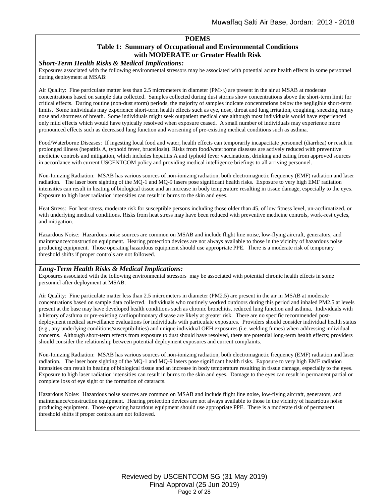#### **POEMS**

# **Table 1: Summary of Occupational and Environmental Conditions with MODERATE or Greater Health Risk**

#### *Short-Term Health Risks & Medical Implications:*

Exposures associated with the following environmental stressors may be associated with potential acute health effects in some personnel during deployment at MSAB:

Air Quality: Fine particulate matter less than 2.5 micrometers in diameter  $(PM_{2.5})$  are present in the air at MSAB at moderate concentrations based on sample data collected. Samples collected during dust storms show concentrations above the short-term limit for critical effects. During routine (non-dust storm) periods, the majority of samples indicate concentrations below the negligible short-term limits. Some individuals may experience short-term health effects such as eye, nose, throat and lung irritation, coughing, sneezing, runny nose and shortness of breath. Some individuals might seek outpatient medical care although most individuals would have experienced only mild effects which would have typically resolved when exposure ceased. A small number of individuals may experience more pronounced effects such as decreased lung function and worsening of pre-existing medical conditions such as asthma.

Food/Waterborne Diseases: If ingesting local food and water, health effects can temporarily incapacitate personnel (diarrhea) or result in prolonged illness (hepatitis A, typhoid fever, brucellosis). Risks from food/waterborne diseases are actively reduced with preventive medicine controls and mitigation, which includes hepatitis A and typhoid fever vaccinations, drinking and eating from approved sources in accordance with current USCENTCOM policy and providing medical intelligence briefings to all arriving personnel.

Non-Ionizing Radiation: MSAB has various sources of non-ionizing radiation, both electromagnetic frequency (EMF) radiation and laser radiation. The laser bore sighting of the MQ-1 and MQ-9 lasers pose significant health risks. Exposure to very high EMF radiation intensities can result in heating of biological tissue and an increase in body temperature resulting in tissue damage, especially to the eyes. Exposure to high laser radiation intensities can result in burns to the skin and eyes.

Heat Stress: For heat stress, moderate risk for susceptible persons including those older than 45, of low fitness level, un-acclimatized, or with underlying medical conditions. Risks from heat stress may have been reduced with preventive medicine controls, work-rest cycles, and mitigation.

Hazardous Noise: Hazardous noise sources are common on MSAB and include flight line noise, low-flying aircraft, generators, and maintenance/construction equipment. Hearing protection devices are not always available to those in the vicinity of hazardous noise producing equipment. Those operating hazardous equipment should use appropriate PPE. There is a moderate risk of temporary threshold shifts if proper controls are not followed.

#### *Long-Term Health Risks & Medical Implications:*

Exposures associated with the following environmental stressors may be associated with potential chronic health effects in some personnel after deployment at MSAB:

Air Quality: Fine particulate matter less than 2.5 micrometers in diameter (PM2.5) are present in the air in MSAB at moderate concentrations based on sample data collected. Individuals who routinely worked outdoors during this period and inhaled PM2.5 at levels present at the base may have developed health conditions such as chronic bronchitis, reduced lung function and asthma. Individuals with a history of asthma or pre-existing cardiopulmonary disease are likely at greater risk. There are no specific recommended postdeployment medical surveillance evaluations for individuals with particulate exposures. Providers should consider individual health status (e.g., any underlying conditions/susceptibilities) and unique individual OEH exposures (i.e. welding fumes) when addressing individual concerns. Although short-term effects from exposure to dust should have resolved, there are potential long-term health effects; providers should consider the relationship between potential deployment exposures and current complaints.

Non-Ionizing Radiation: MSAB has various sources of non-ionizing radiation, both electromagnetic frequency (EMF) radiation and laser radiation. The laser bore sighting of the MQ-1 and MQ-9 lasers pose significant health risks. Exposure to very high EMF radiation intensities can result in heating of biological tissue and an increase in body temperature resulting in tissue damage, especially to the eyes. Exposure to high laser radiation intensities can result in burns to the skin and eyes. Damage to the eyes can result in permanent partial or complete loss of eye sight or the formation of cataracts.

Hazardous Noise: Hazardous noise sources are common on MSAB and include flight line noise, low-flying aircraft, generators, and maintenance/construction equipment. Hearing protection devices are not always available to those in the vicinity of hazardous noise producing equipment. Those operating hazardous equipment should use appropriate PPE. There is a moderate risk of permanent threshold shifts if proper controls are not followed.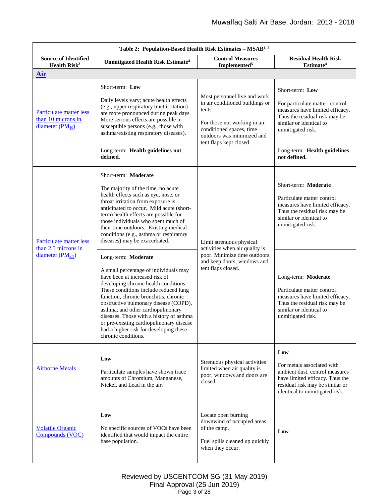<span id="page-2-0"></span>

| Table 2: Population-Based Health Risk Estimates - MSAB <sup>1, 2</sup> |                                                                                                                                                                                                                                                                                                                                                                                                                                                                 |                                                                                                                                                                     |                                                                                                                                                                             |
|------------------------------------------------------------------------|-----------------------------------------------------------------------------------------------------------------------------------------------------------------------------------------------------------------------------------------------------------------------------------------------------------------------------------------------------------------------------------------------------------------------------------------------------------------|---------------------------------------------------------------------------------------------------------------------------------------------------------------------|-----------------------------------------------------------------------------------------------------------------------------------------------------------------------------|
| <b>Source of Identified</b><br>Health Risk <sup>3</sup>                | Unmitigated Health Risk Estimate <sup>4</sup>                                                                                                                                                                                                                                                                                                                                                                                                                   | <b>Control Measures</b><br>Implemented <sup>5</sup>                                                                                                                 | <b>Residual Health Risk</b><br>Estimate <sup>4</sup>                                                                                                                        |
| Air                                                                    |                                                                                                                                                                                                                                                                                                                                                                                                                                                                 |                                                                                                                                                                     |                                                                                                                                                                             |
| Particulate matter less<br>than 10 microns in<br>diameter $(PM_{10})$  | Short-term: Low<br>Daily levels vary; acute health effects<br>(e.g., upper respiratory tract irritation)<br>are more pronounced during peak days.<br>More serious effects are possible in<br>susceptible persons (e.g., those with<br>asthma/existing respiratory diseases).                                                                                                                                                                                    | Most personnel live and work<br>in air conditioned buildings or<br>tents.<br>For those not working in air<br>conditioned spaces, time<br>outdoors was minimized and | Short-term: Low<br>For particulate matter, control<br>measures have limited efficacy.<br>Thus the residual risk may be<br>similar or identical to<br>unmitigated risk.      |
|                                                                        | Long-term: Health guidelines not<br>defined.                                                                                                                                                                                                                                                                                                                                                                                                                    | tent flaps kept closed.                                                                                                                                             | Long-term: Health guidelines<br>not defined.                                                                                                                                |
| Particulate matter less<br>than 2.5 microns in<br>diameter $(PM2.5)$   | Short-term: Moderate<br>The majority of the time, no acute<br>health effects such as eye, nose, or<br>throat irritation from exposure is<br>anticipated to occur. Mild acute (short-<br>term) health effects are possible for<br>those individuals who spent much of<br>their time outdoors. Existing medical<br>conditions (e.g., asthma or respiratory<br>diseases) may be exacerbated.                                                                       | Limit strenuous physical<br>activities when air quality is                                                                                                          | Short-term: Moderate<br>Particulate matter control<br>measures have limited efficacy.<br>Thus the residual risk may be<br>similar or identical to<br>unmitigated risk.      |
|                                                                        | Long-term: Moderate<br>A small percentage of individuals may<br>have been at increased risk of<br>developing chronic health conditions.<br>These conditions include reduced lung<br>function, chronic bronchitis, chronic<br>obstructive pulmonary disease (COPD),<br>asthma, and other cardiopulmonary<br>diseases. Those with a history of asthma<br>or pre-existing cardiopulmonary disease<br>had a higher risk for developing these<br>chronic conditions. | poor. Minimize time outdoors,<br>and keep doors, windows and<br>tent flaps closed.                                                                                  | Long-term: Moderate<br>Particulate matter control<br>measures have limited efficacy.<br>Thus the residual risk may be<br>similar or identical to<br>unmitigated risk.       |
| <b>Airborne Metals</b>                                                 | Low<br>Particulate samples have shown trace<br>amounts of Chromium, Manganese,<br>Nickel, and Lead in the air.                                                                                                                                                                                                                                                                                                                                                  | Strenuous physical activities<br>limited when air quality is<br>poor; windows and doors are<br>closed.                                                              | Low<br>For metals associated with<br>ambient dust, control measures<br>have limited efficacy. Thus the<br>residual risk may be similar or<br>identical to unmitigated risk. |
| <b>Volatile Organic</b><br>Compounds (VOC)                             | Low<br>No specific sources of VOCs have been<br>identified that would impact the entire<br>base population.                                                                                                                                                                                                                                                                                                                                                     | Locate open burning<br>downwind of occupied areas<br>of the camp.<br>Fuel spills cleaned up quickly<br>when they occur.                                             | Low                                                                                                                                                                         |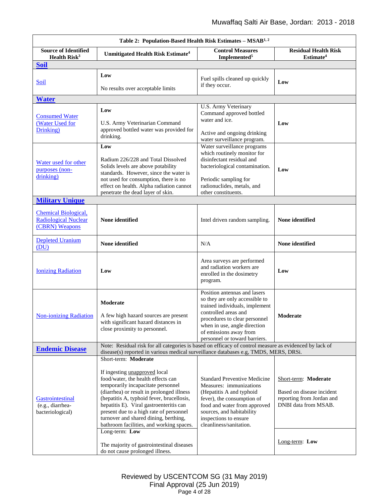| Table 2: Population-Based Health Risk Estimates – MSAB <sup>1, 2</sup>       |                                                                                                                                                                                                                                                                                                                                                                                                                                                                                                                 |                                                                                                                                                                                                                                                      |                                                                                                                          |
|------------------------------------------------------------------------------|-----------------------------------------------------------------------------------------------------------------------------------------------------------------------------------------------------------------------------------------------------------------------------------------------------------------------------------------------------------------------------------------------------------------------------------------------------------------------------------------------------------------|------------------------------------------------------------------------------------------------------------------------------------------------------------------------------------------------------------------------------------------------------|--------------------------------------------------------------------------------------------------------------------------|
| <b>Source of Identified</b><br>Health Risk <sup>3</sup>                      | Unmitigated Health Risk Estimate <sup>4</sup>                                                                                                                                                                                                                                                                                                                                                                                                                                                                   | <b>Control Measures</b><br>Implemented <sup>5</sup>                                                                                                                                                                                                  | <b>Residual Health Risk</b><br>Estimate <sup>4</sup>                                                                     |
| <b>Soil</b>                                                                  |                                                                                                                                                                                                                                                                                                                                                                                                                                                                                                                 |                                                                                                                                                                                                                                                      |                                                                                                                          |
| <u>Soil</u>                                                                  | Low<br>No results over acceptable limits                                                                                                                                                                                                                                                                                                                                                                                                                                                                        | Fuel spills cleaned up quickly<br>if they occur.                                                                                                                                                                                                     | Low                                                                                                                      |
| <b>Water</b>                                                                 |                                                                                                                                                                                                                                                                                                                                                                                                                                                                                                                 |                                                                                                                                                                                                                                                      |                                                                                                                          |
| <b>Consumed Water</b><br>(Water Used for<br>Drinking)                        | Low<br>U.S. Army Veterinarian Command<br>approved bottled water was provided for<br>drinking.                                                                                                                                                                                                                                                                                                                                                                                                                   | U.S. Army Veterinary<br>Command approved bottled<br>water and ice.<br>Active and ongoing drinking<br>water surveillance program.                                                                                                                     | Low                                                                                                                      |
| Water used for other<br>purposes (non-<br>drinking)                          | Low<br>Radium 226/228 and Total Dissolved<br>Solids levels are above potability<br>standards. However, since the water is<br>not used for consumption, there is no<br>effect on health. Alpha radiation cannot<br>penetrate the dead layer of skin.                                                                                                                                                                                                                                                             | Water surveillance programs<br>which routinely monitor for<br>disinfectant residual and<br>bacteriological contamination.<br>Periodic sampling for<br>radionuclides, metals, and<br>other constituents.                                              | Low                                                                                                                      |
| <b>Military Unique</b>                                                       |                                                                                                                                                                                                                                                                                                                                                                                                                                                                                                                 |                                                                                                                                                                                                                                                      |                                                                                                                          |
| <b>Chemical Biological,</b><br><b>Radiological Nuclear</b><br>(CBRN) Weapons | None identified                                                                                                                                                                                                                                                                                                                                                                                                                                                                                                 | Intel driven random sampling.                                                                                                                                                                                                                        | None identified                                                                                                          |
| <b>Depleted Uranium</b><br>(DU)                                              | None identified                                                                                                                                                                                                                                                                                                                                                                                                                                                                                                 | N/A                                                                                                                                                                                                                                                  | None identified                                                                                                          |
| <b>Ionizing Radiation</b>                                                    | Low                                                                                                                                                                                                                                                                                                                                                                                                                                                                                                             | Area surveys are performed<br>and radiation workers are<br>enrolled in the dosimetry<br>program.                                                                                                                                                     | Low                                                                                                                      |
| <b>Non-ionizing Radiation</b>                                                | Moderate<br>A few high hazard sources are present<br>with significant hazard distances in<br>close proximity to personnel.                                                                                                                                                                                                                                                                                                                                                                                      | Position antennas and lasers<br>so they are only accessible to<br>trained individuals, implement<br>controlled areas and<br>procedures to clear personnel<br>when in use, angle direction<br>of emissions away from<br>personnel or toward barriers. | Moderate                                                                                                                 |
| <b>Endemic Disease</b>                                                       | Note: Residual risk for all categories is based on efficacy of control measure as evidenced by lack of<br>disease(s) reported in various medical surveillance databases e.g, TMDS, MERS, DRSi.                                                                                                                                                                                                                                                                                                                  |                                                                                                                                                                                                                                                      |                                                                                                                          |
| Gastrointestinal<br>(e.g., diarrhea-<br>bacteriological)                     | Short-term: Moderate<br>If ingesting <i>unapproved</i> local<br>food/water, the health effects can<br>temporarily incapacitate personnel<br>(diarrhea) or result in prolonged illness<br>(hepatitis A, typhoid fever, brucellosis,<br>hepatitis E). Viral gastroenteritis can<br>present due to a high rate of personnel<br>turnover and shared dining, berthing,<br>bathroom facilities, and working spaces.<br>Long-term: Low<br>The majority of gastrointestinal diseases<br>do not cause prolonged illness. | <b>Standard Preventive Medicine</b><br>Measures: immunizations<br>(Hepatitis A and typhoid<br>fever), the consumption of<br>food and water from approved<br>sources, and habitability<br>inspections to ensure<br>cleanliness/sanitation.            | Short-term: Moderate<br>Based on disease incident<br>reporting from Jordan and<br>DNBI data from MSAB.<br>Long-term: Low |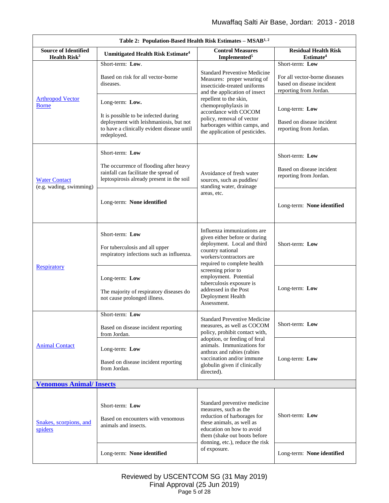| Table 2: Population-Based Health Risk Estimates - MSAB <sup>1,2</sup> |                                                                                                                                                                |                                                                                                                                                                                |                                                                                                         |
|-----------------------------------------------------------------------|----------------------------------------------------------------------------------------------------------------------------------------------------------------|--------------------------------------------------------------------------------------------------------------------------------------------------------------------------------|---------------------------------------------------------------------------------------------------------|
| <b>Source of Identified</b><br>Health $Risk3$                         | <b>Unmitigated Health Risk Estimate<sup>4</sup></b>                                                                                                            | <b>Control Measures</b><br>Implemented <sup>5</sup>                                                                                                                            | <b>Residual Health Risk</b><br>Estimate <sup>4</sup>                                                    |
| <b>Arthropod Vector</b><br><b>Borne</b>                               | Short-term: Low.<br>Based on risk for all vector-borne<br>diseases.                                                                                            | <b>Standard Preventive Medicine</b><br>Measures: proper wearing of<br>insecticide-treated uniforms<br>and the application of insect                                            | Short-term: Low<br>For all vector-borne diseases<br>based on disease incident<br>reporting from Jordan. |
|                                                                       | Long-term: Low.<br>It is possible to be infected during<br>deployment with leishmaniosis, but not<br>to have a clinically evident disease until<br>redeployed. | repellent to the skin,<br>chemoprophylaxis in<br>accordance with COCOM<br>policy, removal of vector<br>harborages within camps, and<br>the application of pesticides.          | Long-term: Low<br>Based on disease incident<br>reporting from Jordan.                                   |
| <b>Water Contact</b><br>(e.g. wading, swimming)                       | Short-term: Low<br>The occurrence of flooding after heavy<br>rainfall can facilitate the spread of<br>leptospirosis already present in the soil                | Avoidance of fresh water<br>sources, such as puddles/<br>standing water, drainage                                                                                              | Short-term: Low<br>Based on disease incident<br>reporting from Jordan.                                  |
|                                                                       | Long-term: None identified                                                                                                                                     | areas, etc.                                                                                                                                                                    | Long-term: None identified                                                                              |
| <b>Respiratory</b>                                                    | Short-term: Low<br>For tuberculosis and all upper<br>respiratory infections such as influenza.                                                                 | Influenza immunizations are<br>given either before or during<br>deployment. Local and third<br>country national<br>workers/contractors are<br>required to complete health      | Short-term: Low                                                                                         |
|                                                                       | Long-term: Low<br>The majority of respiratory diseases do<br>not cause prolonged illness.                                                                      | screening prior to<br>employment. Potential<br>tuberculosis exposure is<br>addressed in the Post<br>Deployment Health<br>Assessment.                                           | Long-term: Low                                                                                          |
| <b>Animal Contact</b>                                                 | Short-term: Low<br>Based on disease incident reporting<br>from Jordan.                                                                                         | <b>Standard Preventive Medicine</b><br>measures, as well as COCOM<br>policy, prohibit contact with,                                                                            | Short-term: Low                                                                                         |
|                                                                       | Long-term: Low<br>Based on disease incident reporting<br>from Jordan.                                                                                          | adoption, or feeding of feral<br>animals. Immunizations for<br>anthrax and rabies (rabies<br>vaccination and/or immune<br>globulin given if clinically<br>directed).           | Long-term: Low                                                                                          |
| <b>Venomous Animal/Insects</b>                                        |                                                                                                                                                                |                                                                                                                                                                                |                                                                                                         |
| Snakes, scorpions, and<br>spiders                                     | Short-term: Low<br>Based on encounters with venomous<br>animals and insects.                                                                                   | Standard preventive medicine<br>measures, such as the<br>reduction of harborages for<br>these animals, as well as<br>education on how to avoid<br>them (shake out boots before | Short-term: Low                                                                                         |
|                                                                       | Long-term: None identified                                                                                                                                     | donning, etc.), reduce the risk<br>of exposure.                                                                                                                                | Long-term: None identified                                                                              |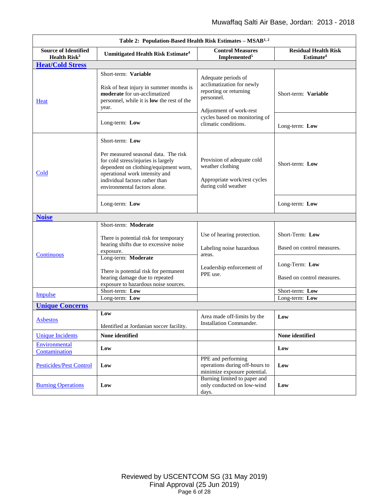| Table 2: Population-Based Health Risk Estimates – MSAB <sup>1, 2</sup> |                                                                                                                                                                                                                                             |                                                                                                                     |                                                      |
|------------------------------------------------------------------------|---------------------------------------------------------------------------------------------------------------------------------------------------------------------------------------------------------------------------------------------|---------------------------------------------------------------------------------------------------------------------|------------------------------------------------------|
| <b>Source of Identified</b><br>Health Risk <sup>3</sup>                | Unmitigated Health Risk Estimate <sup>4</sup>                                                                                                                                                                                               | <b>Control Measures</b><br>Implemented <sup>5</sup>                                                                 | <b>Residual Health Risk</b><br>Estimate <sup>4</sup> |
| <b>Heat/Cold Stress</b>                                                |                                                                                                                                                                                                                                             |                                                                                                                     |                                                      |
| <b>Heat</b>                                                            | Short-term: Variable<br>Risk of heat injury in summer months is<br>moderate for un-acclimatized<br>personnel, while it is <b>low</b> the rest of the<br>year.                                                                               | Adequate periods of<br>acclimatization for newly<br>reporting or returning<br>personnel.<br>Adjustment of work-rest | Short-term: Variable                                 |
|                                                                        | Long-term: Low                                                                                                                                                                                                                              | cycles based on monitoring of<br>climatic conditions.                                                               | Long-term: Low                                       |
| Cold                                                                   | Short-term: Low<br>Per measured seasonal data. The risk<br>for cold stress/injuries is largely<br>dependent on clothing/equipment worn,<br>operational work intensity and<br>individual factors rather than<br>environmental factors alone. | Provision of adequate cold<br>weather clothing<br>Appropriate work/rest cycles<br>during cold weather               | Short-term: Low                                      |
|                                                                        | Long-term: Low                                                                                                                                                                                                                              |                                                                                                                     | Long-term: Low                                       |
| <b>Noise</b>                                                           |                                                                                                                                                                                                                                             |                                                                                                                     |                                                      |
| Continuous                                                             | Short-term: Moderate<br>There is potential risk for temporary<br>hearing shifts due to excessive noise<br>exposure.<br>Long-term: Moderate                                                                                                  | Use of hearing protection.<br>Labeling noise hazardous<br>areas.                                                    | Short-Term: Low<br>Based on control measures.        |
|                                                                        | There is potential risk for permanent<br>hearing damage due to repeated<br>exposure to hazardous noise sources.                                                                                                                             | Leadership enforcement of<br>PPE use.                                                                               | Long-Term: Low<br>Based on control measures.         |
| Impulse                                                                | Short-term: Low                                                                                                                                                                                                                             |                                                                                                                     | Short-term: Low                                      |
|                                                                        | Long-term: Low                                                                                                                                                                                                                              |                                                                                                                     | Long-term: Low                                       |
| <b>Unique Concerns</b>                                                 |                                                                                                                                                                                                                                             |                                                                                                                     |                                                      |
| <b>Asbestos</b>                                                        | Low<br>Identified at Jordanian soccer facility.                                                                                                                                                                                             | Area made off-limits by the<br>Installation Commander.                                                              | Low                                                  |
| <b>Unique Incidents</b>                                                | None identified                                                                                                                                                                                                                             |                                                                                                                     | None identified                                      |
| Environmental<br>Contamination                                         | Low                                                                                                                                                                                                                                         |                                                                                                                     | Low                                                  |
| <b>Pesticides/Pest Control</b>                                         | Low                                                                                                                                                                                                                                         | PPE and performing<br>operations during off-hours to<br>minimize exposure potential.                                | Low                                                  |
| <b>Burning Operations</b>                                              | Low                                                                                                                                                                                                                                         | Burning limited to paper and<br>only conducted on low-wind<br>days.                                                 | Low                                                  |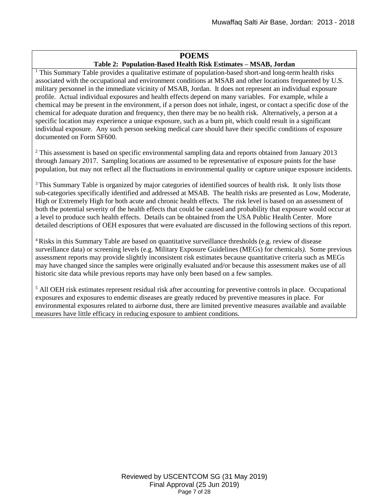# **POEMS Table 2: Population-Based Health Risk Estimates – MSAB, Jordan**

<sup>1</sup> This Summary Table provides a qualitative estimate of population-based short-and long-term health risks associated with the occupational and environment conditions at MSAB and other locations frequented by U.S. military personnel in the immediate vicinity of MSAB, Jordan. It does not represent an individual exposure profile. Actual individual exposures and health effects depend on many variables. For example, while a chemical may be present in the environment, if a person does not inhale, ingest, or contact a specific dose of the chemical for adequate duration and frequency, then there may be no health risk. Alternatively, a person at a specific location may experience a unique exposure, such as a burn pit, which could result in a significant individual exposure. Any such person seeking medical care should have their specific conditions of exposure documented on Form SF600.

<sup>2</sup> This assessment is based on specific environmental sampling data and reports obtained from January 2013 through January 2017. Sampling locations are assumed to be representative of exposure points for the base population, but may not reflect all the fluctuations in environmental quality or capture unique exposure incidents.

<sup>3</sup>This Summary Table is organized by major categories of identified sources of health risk. It only lists those sub-categories specifically identified and addressed at MSAB. The health risks are presented as Low, Moderate, High or Extremely High for both acute and chronic health effects. The risk level is based on an assessment of both the potential severity of the health effects that could be caused and probability that exposure would occur at a level to produce such health effects. Details can be obtained from the USA Public Health Center. More detailed descriptions of OEH exposures that were evaluated are discussed in the following sections of this report.

<sup>4</sup>Risks in this Summary Table are based on quantitative surveillance thresholds (e.g. review of disease surveillance data) or screening levels (e.g. Military Exposure Guidelines (MEGs) for chemicals*).* Some previous assessment reports may provide slightly inconsistent risk estimates because quantitative criteria such as MEGs may have changed since the samples were originally evaluated and/or because this assessment makes use of all historic site data while previous reports may have only been based on a few samples.

<sup>5</sup> All OEH risk estimates represent residual risk after accounting for preventive controls in place. Occupational exposures and exposures to endemic diseases are greatly reduced by preventive measures in place. For environmental exposures related to airborne dust, there are limited preventive measures available and available measures have little efficacy in reducing exposure to ambient conditions.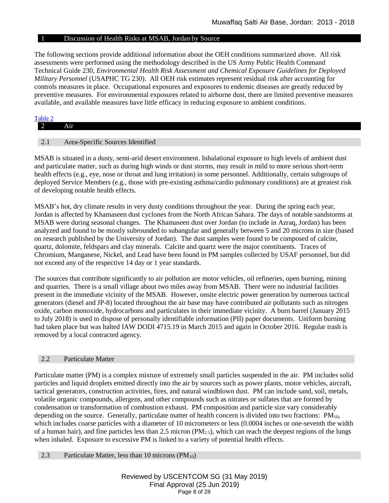# 1 Discussion of Health Risks at MSAB, Jordan by Source

The following sections provide additional information about the OEH conditions summarized above. All risk assessments were performed using the methodology described in the US Army Public Health Command Technical Guide 230, *Environmental Health Risk Assessment and Chemical Exposure Guidelines for Deployed Military Personnel* (USAPHC TG 230). All OEH risk estimates represent residual risk after accounting for controls measures in place. Occupational exposures and exposures to endemic diseases are greatly reduced by preventive measures. For environmental exposures related to airborne dust, there are limited preventive measures available, and available measures have little efficacy in reducing exposure to ambient conditions.

# <span id="page-7-0"></span>[Table 2](#page-2-0) 2 Air 2.1 Area-Specific Sources Identified

MSAB is situated in a dusty, semi-arid desert environment. Inhalational exposure to high levels of ambient dust and particulate matter, such as during high winds or dust storms, may result in mild to more serious short-term health effects (e.g., eye, nose or throat and lung irritation) in some personnel. Additionally, certain subgroups of deployed Service Members (e.g., those with pre-existing asthma/cardio pulmonary conditions) are at greatest risk of developing notable health effects.

MSAB's hot, dry climate results in very dusty conditions throughout the year. During the spring each year, Jordan is affected by Khamaseen dust cyclones from the North African Sahara. The days of notable sandstorms at MSAB were during seasonal changes. The Khamaseen dust over Jordan (to include in Azraq, Jordan) has been analyzed and found to be mostly subrounded to subangular and generally between 5 and 20 microns in size (based on research published by the University of Jordan). The dust samples were found to be composed of calcite, quartz, dolomite, feldspars and clay minerals. Calcite and quartz were the major constituents. Traces of Chromium, Manganese, Nickel, and Lead have been found in PM samples collected by USAF personnel, but did not exceed any of the respective 14 day or 1 year standards.

The sources that contribute significantly to air pollution are motor vehicles, oil refineries, open burning, mining and quarries. There is a small village about two miles away from MSAB. There were no industrial facilities present in the immediate vicinity of the MSAB. However, onsite electric power generation by numerous tactical generators (diesel and JP-8) located throughout the air base may have contributed air pollutants such as nitrogen oxide, carbon monoxide, hydrocarbons and particulates in their immediate vicinity. A burn barrel (January 2015 to July 2018) is used to dispose of personally identifiable information (PII) paper documents. Uniform burning had taken place but was halted IAW DODI 4715.19 in March 2015 and again in October 2016. Regular trash is removed by a local contracted agency.

# 2.2 Particulate Matter

Particulate matter (PM) is a complex mixture of extremely small particles suspended in the air. PM includes solid particles and liquid droplets emitted directly into the air by sources such as power plants, motor vehicles, aircraft, tactical generators, construction activities, fires, and natural windblown dust. PM can include sand, soil, metals, volatile organic compounds, allergens, and other compounds such as nitrates or sulfates that are formed by condensation or transformation of combustion exhaust. PM composition and particle size vary considerably depending on the source. Generally, particulate matter of health concern is divided into two fractions:  $PM_{10}$ , which includes coarse particles with a diameter of 10 micrometers or less (0.0004 inches or one-seventh the width of a human hair), and fine particles less than 2.5 micron  $(PM_{2.5})$ , which can reach the deepest regions of the lungs when inhaled. Exposure to excessive PM is linked to a variety of potential health effects.

<span id="page-7-1"></span>2.3 Particulate Matter, less than 10 microns  $(PM_{10})$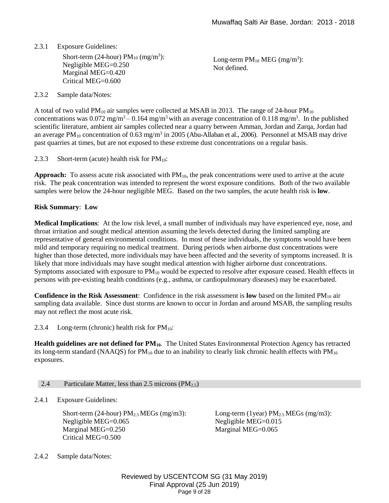# 2.3.1 Exposure Guidelines:

Short-term (24-hour)  $PM_{10}$  (mg/m<sup>3</sup>): Negligible MEG=0.250 Marginal MEG=0.420 Critical MEG=0.600

Long-term  $PM_{10}$  MEG (mg/m<sup>3</sup>): Not defined.

# 2.3.2 Sample data/Notes:

A total of two valid  $PM_{10}$  air samples were collected at MSAB in 2013. The range of 24-hour  $PM_{10}$ concentrations was  $0.072$  mg/m<sup>3</sup> –  $0.164$  mg/m<sup>3</sup> with an average concentration of  $0.118$  mg/m<sup>3</sup>. In the published scientific literature, ambient air samples collected near a quarry between Amman, Jordan and Zarqa, Jordan had an average  $PM_{10}$  concentration of 0.63 mg/m<sup>3</sup> in 2005 (Abu-Allaban et al., 2006). Personnel at MSAB may drive past quarries at times, but are not exposed to these extreme dust concentrations on a regular basis.

2.3.3 Short-term (acute) health risk for  $PM_{10}$ :

**Approach:** To assess acute risk associated with PM10, the peak concentrations were used to arrive at the acute risk. The peak concentration was intended to represent the worst exposure conditions. Both of the two available samples were below the 24-hour negligible MEG. Based on the two samples, the acute health risk is **low**.

### **Risk Summary**: **Low**

**Medical Implications**: At the low risk level, a small number of individuals may have experienced eye, nose, and throat irritation and sought medical attention assuming the levels detected during the limited sampling are representative of general environmental conditions. In most of these individuals, the symptoms would have been mild and temporary requiring no medical treatment. During periods when airborne dust concentrations were higher than those detected, more individuals may have been affected and the severity of symptoms increased. It is likely that more individuals may have sought medical attention with higher airborne dust concentrations. Symptoms associated with exposure to  $PM_{10}$  would be expected to resolve after exposure ceased. Health effects in persons with pre-existing health conditions (e.g., asthma, or cardiopulmonary diseases) may be exacerbated.

**Confidence in the Risk Assessment:** Confidence in the risk assessment is **low** based on the limited PM<sub>10</sub> air sampling data available. Since dust storms are known to occur in Jordan and around MSAB, the sampling results may not reflect the most acute risk.

2.3.4 Long-term (chronic) health risk for  $PM_{10}$ :

**Health guidelines are not defined for PM10**. The United States Environmental Protection Agency has retracted its long-term standard (NAAQS) for  $PM_{10}$  due to an inability to clearly link chronic health effects with  $PM_{10}$ exposures.

#### <span id="page-8-0"></span>2.4 Particulate Matter, less than 2.5 microns  $(PM_{2.5})$

2.4.1 Exposure Guidelines:

Short-term (24-hour)  $PM_{2.5}$  MEGs (mg/m3): Negligible MEG=0.065 Marginal MEG=0.250 Critical MEG=0.500

Long-term (1year)  $PM_{2.5}$  MEGs (mg/m3): Negligible MEG=0.015 Marginal MEG=0.065

2.4.2 Sample data/Notes:

Reviewed by USCENTCOM SG (31 May 2019) Final Approval (25 Jun 2019) Page 9 of 28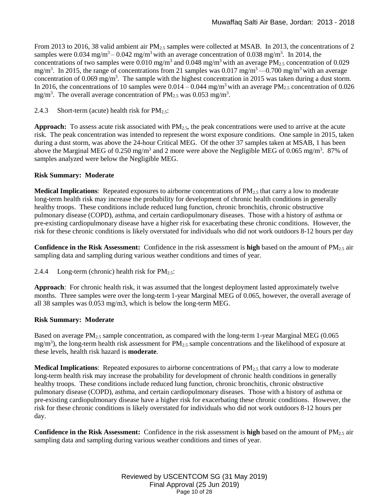From 2013 to 2016, 38 valid ambient air PM<sub>2.5</sub> samples were collected at MSAB. In 2013, the concentrations of 2 samples were  $0.034$  mg/m<sup>3</sup> –  $0.042$  mg/m<sup>3</sup> with an average concentration of 0.038 mg/m<sup>3</sup>. In 2014, the concentrations of two samples were 0.010 mg/m<sup>3</sup> and 0.048 mg/m<sup>3</sup> with an average PM<sub>2.5</sub> concentration of 0.029 mg/m<sup>3</sup>. In 2015, the range of concentrations from 21 samples was  $0.017 \text{ mg/m}^3$ — $0.700 \text{ mg/m}^3$  with an average concentration of 0.069 mg/m<sup>3</sup>. The sample with the highest concentration in 2015 was taken during a dust storm. In 2016, the concentrations of 10 samples were  $0.014 - 0.044$  mg/m<sup>3</sup> with an average PM<sub>2.5</sub> concentration of 0.026 mg/m<sup>3</sup>. The overall average concentration of  $PM_{2.5}$  was 0.053 mg/m<sup>3</sup>.

2.4.3 Short-term (acute) health risk for  $PM_{2.5}$ :

**Approach:** To assess acute risk associated with PM2.5, the peak concentrations were used to arrive at the acute risk. The peak concentration was intended to represent the worst exposure conditions. One sample in 2015, taken during a dust storm, was above the 24-hour Critical MEG. Of the other 37 samples taken at MSAB, 1 has been above the Marginal MEG of 0.250 mg/m<sup>3</sup> and 2 more were above the Negligible MEG of 0.065 mg/m<sup>3</sup>. 87% of samples analyzed were below the Negligible MEG.

# **Risk Summary: Moderate**

**Medical Implications**: Repeated exposures to airborne concentrations of PM<sub>2.5</sub> that carry a low to moderate long-term health risk may increase the probability for development of chronic health conditions in generally healthy troops. These conditions include reduced lung function, chronic bronchitis, chronic obstructive pulmonary disease (COPD), asthma, and certain cardiopulmonary diseases. Those with a history of asthma or pre-existing cardiopulmonary disease have a higher risk for exacerbating these chronic conditions. However, the risk for these chronic conditions is likely overstated for individuals who did not work outdoors 8-12 hours per day

**Confidence in the Risk Assessment:** Confidence in the risk assessment is **high** based on the amount of PM2.5 air sampling data and sampling during various weather conditions and times of year.

2.4.4 Long-term (chronic) health risk for  $PM_{2.5}$ :

**Approach**: For chronic health risk, it was assumed that the longest deployment lasted approximately twelve months. Three samples were over the long-term 1-year Marginal MEG of 0.065, however, the overall average of all 38 samples was 0.053 mg/m3, which is below the long-term MEG.

# **Risk Summary: Moderate**

Based on average  $PM_{2.5}$  sample concentration, as compared with the long-term 1-year Marginal MEG (0.065)  $mg/m<sup>3</sup>$ ), the long-term health risk assessment for PM<sub>2.5</sub> sample concentrations and the likelihood of exposure at these levels, health risk hazard is **moderate**.

**Medical Implications**: Repeated exposures to airborne concentrations of PM<sub>2.5</sub> that carry a low to moderate long-term health risk may increase the probability for development of chronic health conditions in generally healthy troops. These conditions include reduced lung function, chronic bronchitis, chronic obstructive pulmonary disease (COPD), asthma, and certain cardiopulmonary diseases. Those with a history of asthma or pre-existing cardiopulmonary disease have a higher risk for exacerbating these chronic conditions. However, the risk for these chronic conditions is likely overstated for individuals who did not work outdoors 8-12 hours per day.

**Confidence in the Risk Assessment:** Confidence in the risk assessment is **high** based on the amount of PM2.5 air sampling data and sampling during various weather conditions and times of year.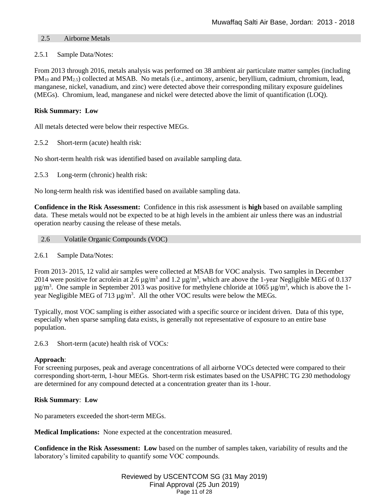# <span id="page-10-0"></span>2.5 Airborne Metals

### 2.5.1 Sample Data/Notes:

From 2013 through 2016, metals analysis was performed on 38 ambient air particulate matter samples (including PM<sub>10</sub> and PM<sub>2.5</sub>) collected at MSAB. No metals (i.e., antimony, arsenic, beryllium, cadmium, chromium, lead, manganese, nickel, vanadium, and zinc) were detected above their corresponding military exposure guidelines (MEGs). Chromium, lead, manganese and nickel were detected above the limit of quantification (LOQ).

# **Risk Summary: Low**

All metals detected were below their respective MEGs.

2.5.2 Short-term (acute) health risk:

No short-term health risk was identified based on available sampling data.

2.5.3 Long-term (chronic) health risk:

No long-term health risk was identified based on available sampling data.

**Confidence in the Risk Assessment:** Confidence in this risk assessment is **high** based on available sampling data. These metals would not be expected to be at high levels in the ambient air unless there was an industrial operation nearby causing the release of these metals.

- <span id="page-10-1"></span>2.6 Volatile Organic Compounds (VOC)
- 2.6.1 Sample Data/Notes:

From 2013- 2015, 12 valid air samples were collected at MSAB for VOC analysis. Two samples in December 2014 were positive for acrolein at 2.6  $\mu$ g/m<sup>3</sup> and 1.2  $\mu$ g/m<sup>3</sup>, which are above the 1-year Negligible MEG of 0.137  $\mu$ g/m<sup>3</sup>. One sample in September 2013 was positive for methylene chloride at 1065  $\mu$ g/m<sup>3</sup>, which is above the 1year Negligible MEG of 713  $\mu$ g/m<sup>3</sup>. All the other VOC results were below the MEGs.

Typically, most VOC sampling is either associated with a specific source or incident driven. Data of this type, especially when sparse sampling data exists, is generally not representative of exposure to an entire base population.

2.6.3 Short-term (acute) health risk of VOCs*:* 

# **Approach**:

For screening purposes, peak and average concentrations of all airborne VOCs detected were compared to their corresponding short-term, 1-hour MEGs. Short-term risk estimates based on the USAPHC TG 230 methodology are determined for any compound detected at a concentration greater than its 1-hour.

### **Risk Summary**: **Low**

No parameters exceeded the short-term MEGs.

**Medical Implications:** None expected at the concentration measured.

**Confidence in the Risk Assessment: Low** based on the number of samples taken, variability of results and the laboratory's limited capability to quantify some VOC compounds.

> Reviewed by USCENTCOM SG (31 May 2019) Final Approval (25 Jun 2019) Page 11 of 28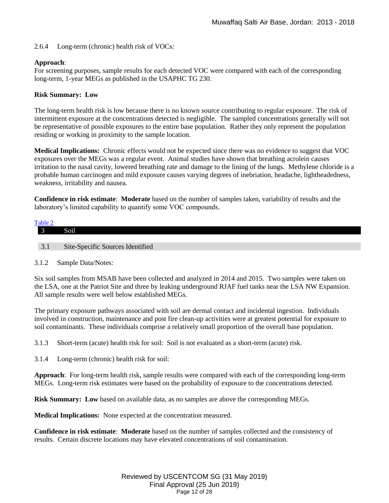2.6.4 Long-term (chronic) health risk of VOCs*:* 

# **Approach**:

For screening purposes, sample results for each detected VOC were compared with each of the corresponding long-term, 1-year MEGs as published in the USAPHC TG 230.

# **Risk Summary: Low**

The long-term health risk is low because there is no known source contributing to regular exposure. The risk of intermittent exposure at the concentrations detected is negligible. The sampled concentrations generally will not be representative of possible exposures to the entire base population. Rather they only represent the population residing or working in proximity to the sample location.

**Medical Implications:** Chronic effects would not be expected since there was no evidence to suggest that VOC exposures over the MEGs was a regular event. Animal studies have shown that breathing acrolein causes irritation to the nasal cavity, lowered breathing rate and damage to the lining of the lungs. Methylene chloride is a probable human carcinogen and mild exposure causes varying degrees of inebriation, headache, lightheadedness, weakness, irritability and nausea.

**Confidence in risk estimate**: **Moderate** based on the number of samples taken, variability of results and the laboratory's limited capability to quantify some VOC compounds.

<span id="page-11-0"></span>

| Table 2 |                                  |
|---------|----------------------------------|
|         | Soil                             |
|         |                                  |
| 3.1     | Site-Specific Sources Identified |

# 3.1.2 Sample Data/Notes*:*

Six soil samples from MSAB have been collected and analyzed in 2014 and 2015. Two samples were taken on the LSA, one at the Patriot Site and three by leaking underground RJAF fuel tanks near the LSA NW Expansion. All sample results were well below established MEGs.

The primary exposure pathways associated with soil are dermal contact and incidental ingestion. Individuals involved in construction, maintenance and post fire clean-up activities were at greatest potential for exposure to soil contaminants. These individuals comprise a relatively small proportion of the overall base population.

3.1.3 Short-term (acute) health risk for soil: Soil is not evaluated as a short-term (acute) risk.

3.1.4 Long-term (chronic) health risk for soil:

**Approach**: For long-term health risk, sample results were compared with each of the corresponding long-term MEGs. Long-term risk estimates were based on the probability of exposure to the concentrations detected.

**Risk Summary: Low** based on available data, as no samples are above the corresponding MEGs.

**Medical Implications:** None expected at the concentration measured.

**Confidence in risk estimate**: **Moderate** based on the number of samples collected and the consistency of results. Certain discrete locations may have elevated concentrations of soil contamination.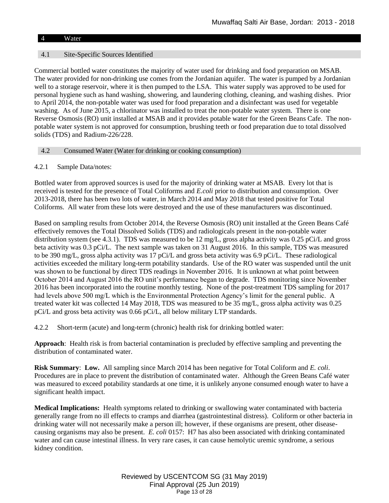# <span id="page-12-0"></span>4 Water

# 4.1 Site-Specific Sources Identified

Commercial bottled water constitutes the majority of water used for drinking and food preparation on MSAB. The water provided for non-drinking use comes from the Jordanian aquifer. The water is pumped by a Jordanian well to a storage reservoir, where it is then pumped to the LSA. This water supply was approved to be used for personal hygiene such as hand washing, showering, and laundering clothing, cleaning, and washing dishes. Prior to April 2014, the non-potable water was used for food preparation and a disinfectant was used for vegetable washing. As of June 2015, a chlorinator was installed to treat the non-potable water system. There is one Reverse Osmosis (RO) unit installed at MSAB and it provides potable water for the Green Beans Cafe. The nonpotable water system is not approved for consumption, brushing teeth or food preparation due to total dissolved solids (TDS) and Radium-226/228.

# <span id="page-12-1"></span>4.2 Consumed Water (Water for drinking or cooking consumption)

# 4.2.1 Sample Data/notes:

Bottled water from approved sources is used for the majority of drinking water at MSAB. Every lot that is received is tested for the presence of Total Coliforms and *E.coli* prior to distribution and consumption. Over 2013-2018, there has been two lots of water, in March 2014 and May 2018 that tested positive for Total Coliforms. All water from these lots were destroyed and the use of these manufacturers was discontinued.

Based on sampling results from October 2014, the Reverse Osmosis (RO) unit installed at the Green Beans Café effectively removes the Total Dissolved Solids (TDS) and radiologicals present in the non-potable water distribution system (see 4.3.1). TDS was measured to be 12 mg/L, gross alpha activity was 0.25 pCi/L and gross beta activity was 0.3 pCi/L. The next sample was taken on 31 August 2016. In this sample, TDS was measured to be 390 mg/L, gross alpha activity was 17 pCi/L and gross beta activity was 6.9 pCi/L. These radiological activities exceeded the military long-term potability standards. Use of the RO water was suspended until the unit was shown to be functional by direct TDS readings in November 2016. It is unknown at what point between October 2014 and August 2016 the RO unit's performance began to degrade. TDS monitoring since November 2016 has been incorporated into the routine monthly testing. None of the post-treatment TDS sampling for 2017 had levels above 500 mg/L which is the Environmental Protection Agency's limit for the general public. A treated water kit was collected 14 May 2018, TDS was measured to be 35 mg/L, gross alpha activity was 0.25 pCi/L and gross beta activity was 0.66 pCi/L, all below military LTP standards.

4.2.2 Short-term (acute) and long-term (chronic) health risk for drinking bottled water:

**Approach**: Health risk is from bacterial contamination is precluded by effective sampling and preventing the distribution of contaminated water.

**Risk Summary**: **Low.** All sampling since March 2014 has been negative for Total Coliform and *E. coli*. Procedures are in place to prevent the distribution of contaminated water. Although the Green Beans Café water was measured to exceed potability standards at one time, it is unlikely anyone consumed enough water to have a significant health impact.

**Medical Implications:** Health symptoms related to drinking or swallowing water contaminated with bacteria generally range from no ill effects to cramps and diarrhea (gastrointestinal distress). Coliform or other bacteria in drinking water will not necessarily make a person ill; however, if these organisms are present, other diseasecausing organisms may also be present. *E. coli* 0157: H7 has also been associated with drinking contaminated water and can cause intestinal illness. In very rare cases, it can cause hemolytic uremic syndrome, a serious kidney condition.

> Reviewed by USCENTCOM SG (31 May 2019) Final Approval (25 Jun 2019) Page 13 of 28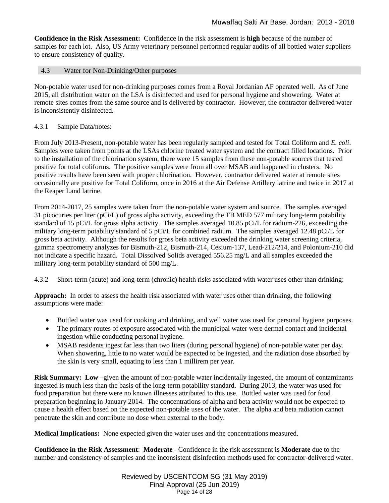**Confidence in the Risk Assessment:** Confidence in the risk assessment is **high** because of the number of samples for each lot. Also, US Army veterinary personnel performed regular audits of all bottled water suppliers to ensure consistency of quality.

# <span id="page-13-0"></span>4.3 Water for Non-Drinking/Other purposes

Non-potable water used for non-drinking purposes comes from a Royal Jordanian AF operated well. As of June 2015, all distribution water on the LSA is disinfected and used for personal hygiene and showering. Water at remote sites comes from the same source and is delivered by contractor. However, the contractor delivered water is inconsistently disinfected.

# 4.3.1 Sample Data/notes:

From July 2013-Present, non-potable water has been regularly sampled and tested for Total Coliform and *E. coli*. Samples were taken from points at the LSAs chlorine treated water system and the contract filled locations. Prior to the installation of the chlorination system, there were 15 samples from these non-potable sources that tested positive for total coliforms. The positive samples were from all over MSAB and happened in clusters. No positive results have been seen with proper chlorination. However, contractor delivered water at remote sites occasionally are positive for Total Coliform, once in 2016 at the Air Defense Artillery latrine and twice in 2017 at the Reaper Land latrine.

From 2014-2017, 25 samples were taken from the non-potable water system and source. The samples averaged 31 picocuries per liter (pCi/L) of gross alpha activity, exceeding the TB MED 577 military long-term potability standard of 15 pCi/L for gross alpha activity. The samples averaged 10.85 pCi/L for radium-226, exceeding the military long-term potability standard of 5 pCi/L for combined radium. The samples averaged 12.48 pCi/L for gross beta activity. Although the results for gross beta activity exceeded the drinking water screening criteria, gamma spectrometry analyzes for Bismuth-212, Bismuth-214, Cesium-137, Lead-212/214, and Polonium-210 did not indicate a specific hazard. Total Dissolved Solids averaged 556.25 mg/L and all samples exceeded the military long-term potability standard of 500 mg/L.

4.3.2 Short-term (acute) and long-term (chronic) health risks associated with water uses other than drinking:

**Approach:** In order to assess the health risk associated with water uses other than drinking, the following assumptions were made:

- Bottled water was used for cooking and drinking, and well water was used for personal hygiene purposes.
- The primary routes of exposure associated with the municipal water were dermal contact and incidental ingestion while conducting personal hygiene.
- MSAB residents ingest far less than two liters (during personal hygiene) of non-potable water per day. When showering, little to no water would be expected to be ingested, and the radiation dose absorbed by the skin is very small, equating to less than 1 millirem per year.

**Risk Summary:** Low –given the amount of non-potable water incidentally ingested, the amount of contaminants ingested is much less than the basis of the long-term potability standard. During 2013, the water was used for food preparation but there were no known illnesses attributed to this use. Bottled water was used for food preparation beginning in January 2014. The concentrations of alpha and beta activity would not be expected to cause a health effect based on the expected non-potable uses of the water. The alpha and beta radiation cannot penetrate the skin and contribute no dose when external to the body.

**Medical Implications:** None expected given the water uses and the concentrations measured.

**Confidence in the Risk Assessment**: **Moderate** - Confidence in the risk assessment is **Moderate** due to the number and consistency of samples and the inconsistent disinfection methods used for contractor-delivered water.

> Reviewed by USCENTCOM SG (31 May 2019) Final Approval (25 Jun 2019) Page 14 of 28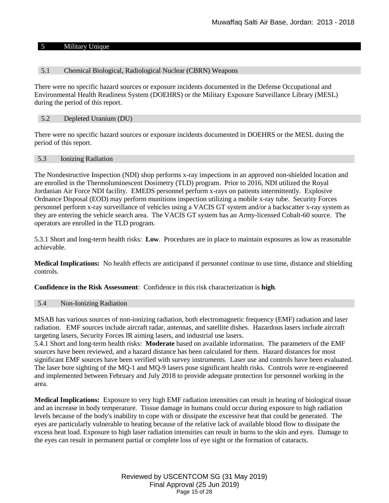### <span id="page-14-0"></span>5 Military Unique

### <span id="page-14-1"></span>5.1 Chemical Biological, Radiological Nuclear (CBRN) Weapons

There were no specific hazard sources or exposure incidents documented in the Defense Occupational and Environmental Health Readiness System (DOEHRS) or the Military Exposure Surveillance Library (MESL) during the period of this report.

# <span id="page-14-2"></span>5.2 Depleted Uranium (DU)

There were no specific hazard sources or exposure incidents documented in DOEHRS or the MESL during the period of this report.

### <span id="page-14-3"></span>5.3 Ionizing Radiation

The Nondestructive Inspection (NDI) shop performs x-ray inspections in an approved non-shielded location and are enrolled in the Thermoluminescent Dosimetry (TLD) program. Prior to 2016, NDI utilized the Royal Jordanian Air Force NDI facility. EMEDS personnel perform x-rays on patients intermittently. Explosive Ordnance Disposal (EOD) may perform munitions inspection utilizing a mobile x-ray tube. Security Forces personnel perform x-ray surveillance of vehicles using a VACIS GT system and/or a backscatter x-ray system as they are entering the vehicle search area. The VACIS GT system has an Army-licensed Cobalt-60 source. The operators are enrolled in the TLD program.

5.3.1 Short and long-term health risks: **Low**. Procedures are in place to maintain exposures as low as reasonable achievable.

**Medical Implications:** No health effects are anticipated if personnel continue to use time, distance and shielding controls.

**Confidence in the Risk Assessment**: Confidence in this risk characterization is **high**.

#### <span id="page-14-4"></span>5.4 Non-Ionizing Radiation

MSAB has various sources of non-ionizing radiation, both electromagnetic frequency (EMF) radiation and laser radiation. EMF sources include aircraft radar, antennas, and satellite dishes. Hazardous lasers include aircraft targeting lasers, Security Forces IR aiming lasers, and industrial use lasers.

5.4.1 Short and long-term health risks: **Moderate** based on available information. The parameters of the EMF sources have been reviewed, and a hazard distance has been calculated for them. Hazard distances for most significant EMF sources have been verified with survey instruments. Laser use and controls have been evaluated. The laser bore sighting of the MQ-1 and MQ-9 lasers pose significant health risks. Controls were re-engineered and implemented between February and July 2018 to provide adequate protection for personnel working in the area.

**Medical Implications:** Exposure to very high EMF radiation intensities can result in heating of biological tissue and an increase in body temperature. Tissue damage in humans could occur during exposure to high radiation levels because of the body's inability to cope with or dissipate the excessive heat that could be generated. The eyes are particularly vulnerable to heating because of the relative lack of available blood flow to dissipate the excess heat load. Exposure to high laser radiation intensities can result in burns to the skin and eyes. Damage to the eyes can result in permanent partial or complete loss of eye sight or the formation of cataracts.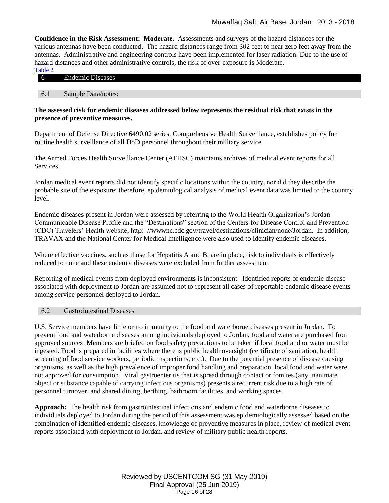**Confidence in the Risk Assessment**: **Moderate**. Assessments and surveys of the hazard distances for the various antennas have been conducted. The hazard distances range from 302 feet to near zero feet away from the antennas. Administrative and engineering controls have been implemented for laser radiation. Due to the use of hazard distances and other administrative controls, the risk of over-exposure is Moderate.

| Table 2 |                         |  |  |
|---------|-------------------------|--|--|
| $\circ$ | <b>Endemic Diseases</b> |  |  |

#### <span id="page-15-0"></span>6.1 Sample Data/notes:

# **The assessed risk for endemic diseases addressed below represents the residual risk that exists in the presence of preventive measures.**

Department of Defense Directive 6490.02 series, Comprehensive Health Surveillance, establishes policy for routine health surveillance of all DoD personnel throughout their military service.

The Armed Forces Health Surveillance Center (AFHSC) maintains archives of medical event reports for all Services.

Jordan medical event reports did not identify specific locations within the country, nor did they describe the probable site of the exposure; therefore, epidemiological analysis of medical event data was limited to the country level.

Endemic diseases present in Jordan were assessed by referring to the World Health Organization's Jordan Communicable Disease Profile and the "Destinations" section of the Centers for Disease Control and Prevention (CDC) Travelers' Health website, http: //wwwnc.cdc.gov/travel/destinations/clinician/none/Jordan. In addition, TRAVAX and the National Center for Medical Intelligence were also used to identify endemic diseases.

Where effective vaccines, such as those for Hepatitis A and B, are in place, risk to individuals is effectively reduced to none and these endemic diseases were excluded from further assessment.

Reporting of medical events from deployed environments is inconsistent. Identified reports of endemic disease associated with deployment to Jordan are assumed not to represent all cases of reportable endemic disease events among service personnel deployed to Jordan.

### <span id="page-15-1"></span>6.2 Gastrointestinal Diseases

U.S. Service members have little or no immunity to the food and waterborne diseases present in Jordan. To prevent food and waterborne diseases among individuals deployed to Jordan, food and water are purchased from approved sources. Members are briefed on food safety precautions to be taken if local food and or water must be ingested. Food is prepared in facilities where there is public health oversight (certificate of sanitation, health screening of food service workers, periodic inspections, etc.). Due to the potential presence of disease causing organisms, as well as the high prevalence of improper food handling and preparation, local food and water were not approved for consumption. Viral gastroenteritis that is spread through contact or fomites (any inanimate object or substance capable of carrying infectious organisms) presents a recurrent risk due to a high rate of personnel turnover, and shared dining, berthing, bathroom facilities, and working spaces.

**Approach:** The health risk from gastrointestinal infections and endemic food and waterborne diseases to individuals deployed to Jordan during the period of this assessment was epidemiologically assessed based on the combination of identified endemic diseases, knowledge of preventive measures in place, review of medical event reports associated with deployment to Jordan, and review of military public health reports.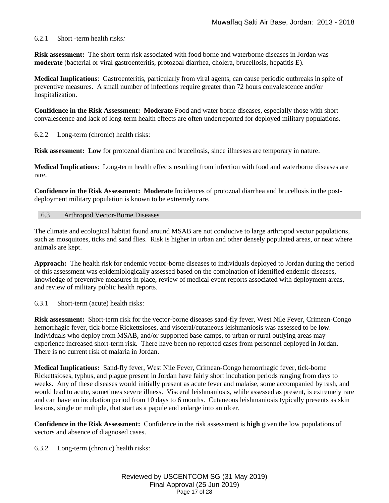# 6.2.1 Short -term health risks*:*

**Risk assessment:** The short-term risk associated with food borne and waterborne diseases in Jordan was **moderate** (bacterial or viral gastroenteritis, protozoal diarrhea, cholera, brucellosis, hepatitis E).

**Medical Implications**: Gastroenteritis, particularly from viral agents, can cause periodic outbreaks in spite of preventive measures. A small number of infections require greater than 72 hours convalescence and/or hospitalization.

**Confidence in the Risk Assessment: Moderate** Food and water borne diseases, especially those with short convalescence and lack of long-term health effects are often underreported for deployed military populations.

6.2.2 Long-term (chronic) health risks:

**Risk assessment:** Low for protozoal diarrhea and brucellosis, since illnesses are temporary in nature.

**Medical Implications**: Long-term health effects resulting from infection with food and waterborne diseases are rare.

**Confidence in the Risk Assessment: Moderate** Incidences of protozoal diarrhea and brucellosis in the postdeployment military population is known to be extremely rare.

#### <span id="page-16-0"></span>6.3 Arthropod Vector-Borne Diseases

The climate and ecological habitat found around MSAB are not conducive to large arthropod vector populations, such as mosquitoes, ticks and sand flies. Risk is higher in urban and other densely populated areas, or near where animals are kept.

**Approach:** The health risk for endemic vector-borne diseases to individuals deployed to Jordan during the period of this assessment was epidemiologically assessed based on the combination of identified endemic diseases, knowledge of preventive measures in place, review of medical event reports associated with deployment areas, and review of military public health reports.

6.3.1 Short-term (acute) health risks:

**Risk assessment:** Short-term risk for the vector-borne diseases sand-fly fever, West Nile Fever, Crimean-Congo hemorrhagic fever, tick-borne Rickettsioses, and visceral/cutaneous leishmaniosis was assessed to be **low**. Individuals who deploy from MSAB, and/or supported base camps, to urban or rural outlying areas may experience increased short-term risk. There have been no reported cases from personnel deployed in Jordan. There is no current risk of malaria in Jordan.

**Medical Implications:** Sand-fly fever, West Nile Fever, Crimean-Congo hemorrhagic fever, tick-borne Rickettsioses, typhus, and plague present in Jordan have fairly short incubation periods ranging from days to weeks. Any of these diseases would initially present as acute fever and malaise, some accompanied by rash, and would lead to acute, sometimes severe illness. Visceral leishmaniosis, while assessed as present, is extremely rare and can have an incubation period from 10 days to 6 months. Cutaneous leishmaniosis typically presents as skin lesions, single or multiple, that start as a papule and enlarge into an ulcer.

**Confidence in the Risk Assessment:** Confidence in the risk assessment is **high** given the low populations of vectors and absence of diagnosed cases.

6.3.2 Long-term (chronic) health risks: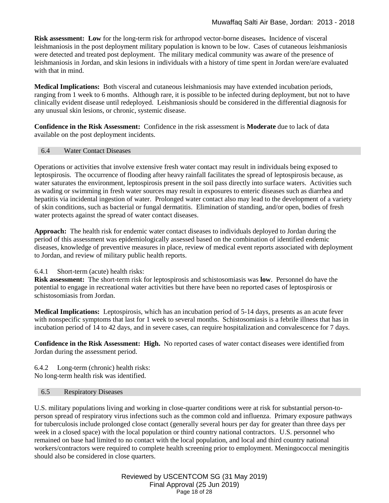**Risk assessment: Low** for the long-term risk for arthropod vector-borne diseases**.** Incidence of visceral leishmaniosis in the post deployment military population is known to be low. Cases of cutaneous leishmaniosis were detected and treated post deployment. The military medical community was aware of the presence of leishmaniosis in Jordan, and skin lesions in individuals with a history of time spent in Jordan were/are evaluated with that in mind.

**Medical Implications:** Both visceral and cutaneous leishmaniosis may have extended incubation periods, ranging from 1 week to 6 months. Although rare, it is possible to be infected during deployment, but not to have clinically evident disease until redeployed. Leishmaniosis should be considered in the differential diagnosis for any unusual skin lesions, or chronic, systemic disease.

**Confidence in the Risk Assessment:** Confidence in the risk assessment is **Moderate** due to lack of data available on the post deployment incidents.

# <span id="page-17-0"></span>6.4 Water Contact Diseases

Operations or activities that involve extensive fresh water contact may result in individuals being exposed to leptospirosis. The occurrence of flooding after heavy rainfall facilitates the spread of leptospirosis because, as water saturates the environment, leptospirosis present in the soil pass directly into surface waters. Activities such as wading or swimming in fresh water sources may result in exposures to enteric diseases such as diarrhea and hepatitis via incidental ingestion of water. Prolonged water contact also may lead to the development of a variety of skin conditions, such as bacterial or fungal dermatitis. Elimination of standing, and/or open, bodies of fresh water protects against the spread of water contact diseases.

**Approach:** The health risk for endemic water contact diseases to individuals deployed to Jordan during the period of this assessment was epidemiologically assessed based on the combination of identified endemic diseases, knowledge of preventive measures in place, review of medical event reports associated with deployment to Jordan, and review of military public health reports.

# 6.4.1 Short-term (acute) health risks:

**Risk assessment:** The short-term risk for leptospirosis and schistosomiasis was **low**. Personnel do have the potential to engage in recreational water activities but there have been no reported cases of leptospirosis or schistosomiasis from Jordan.

**Medical Implications:** Leptospirosis, which has an incubation period of 5-14 days, presents as an acute fever with nonspecific symptoms that last for 1 week to several months. Schistosomiasis is a febrile illness that has in incubation period of 14 to 42 days, and in severe cases, can require hospitalization and convalescence for 7 days.

**Confidence in the Risk Assessment: High.** No reported cases of water contact diseases were identified from Jordan during the assessment period.

6.4.2 Long-term (chronic) health risks: No long-term health risk was identified.

#### <span id="page-17-1"></span>6.5 Respiratory Diseases

U.S. military populations living and working in close-quarter conditions were at risk for substantial person-toperson spread of respiratory virus infections such as the common cold and influenza. Primary exposure pathways for tuberculosis include prolonged close contact (generally several hours per day for greater than three days per week in a closed space) with the local population or third country national contractors. U.S. personnel who remained on base had limited to no contact with the local population, and local and third country national workers/contractors were required to complete health screening prior to employment. Meningococcal meningitis should also be considered in close quarters.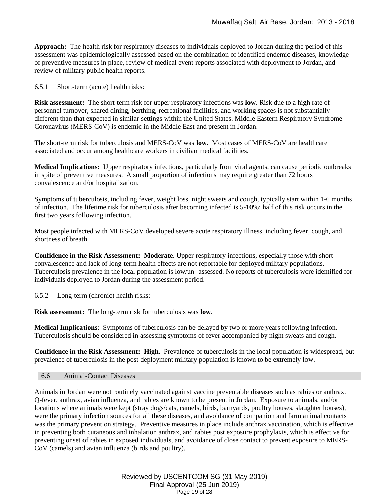**Approach:** The health risk for respiratory diseases to individuals deployed to Jordan during the period of this assessment was epidemiologically assessed based on the combination of identified endemic diseases, knowledge of preventive measures in place, review of medical event reports associated with deployment to Jordan, and review of military public health reports.

6.5.1 Short-term (acute) health risks:

**Risk assessment:** The short-term risk for upper respiratory infections was **low.** Risk due to a high rate of personnel turnover, shared dining, berthing, recreational facilities, and working spaces is not substantially different than that expected in similar settings within the United States. Middle Eastern Respiratory Syndrome Coronavirus (MERS-CoV) is endemic in the Middle East and present in Jordan.

The short-term risk for tuberculosis and MERS-CoV was **low.** Most cases of MERS-CoV are healthcare associated and occur among healthcare workers in civilian medical facilities.

**Medical Implications:** Upper respiratory infections, particularly from viral agents, can cause periodic outbreaks in spite of preventive measures. A small proportion of infections may require greater than 72 hours convalescence and/or hospitalization.

Symptoms of tuberculosis, including fever, weight loss, night sweats and cough, typically start within 1-6 months of infection. The lifetime risk for tuberculosis after becoming infected is 5-10%; half of this risk occurs in the first two years following infection.

Most people infected with MERS-CoV developed severe acute respiratory illness, including fever, cough, and shortness of breath.

**Confidence in the Risk Assessment: Moderate.** Upper respiratory infections, especially those with short convalescence and lack of long-term health effects are not reportable for deployed military populations. Tuberculosis prevalence in the local population is low/un- assessed. No reports of tuberculosis were identified for individuals deployed to Jordan during the assessment period.

6.5.2 Long-term (chronic) health risks:

**Risk assessment:** The long-term risk for tuberculosis was **low**.

**Medical Implications**: Symptoms of tuberculosis can be delayed by two or more years following infection. Tuberculosis should be considered in assessing symptoms of fever accompanied by night sweats and cough.

**Confidence in the Risk Assessment: High.** Prevalence of tuberculosis in the local population is widespread, but prevalence of tuberculosis in the post deployment military population is known to be extremely low.

<span id="page-18-0"></span>6.6 Animal-Contact Diseases

Animals in Jordan were not routinely vaccinated against vaccine preventable diseases such as rabies or anthrax. Q-fever, anthrax, avian influenza, and rabies are known to be present in Jordan. Exposure to animals, and/or locations where animals were kept (stray dogs/cats, camels, birds, barnyards, poultry houses, slaughter houses), were the primary infection sources for all these diseases, and avoidance of companion and farm animal contacts was the primary prevention strategy. Preventive measures in place include anthrax vaccination, which is effective in preventing both cutaneous and inhalation anthrax, and rabies post exposure prophylaxis, which is effective for preventing onset of rabies in exposed individuals, and avoidance of close contact to prevent exposure to MERS-CoV (camels) and avian influenza (birds and poultry).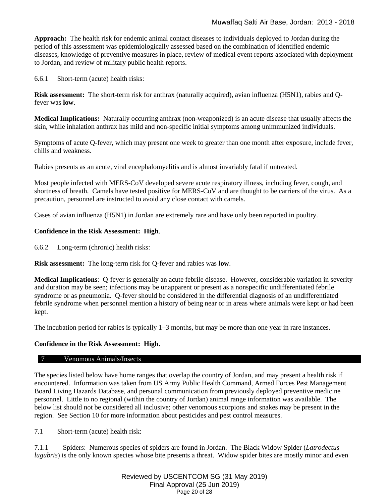**Approach:** The health risk for endemic animal contact diseases to individuals deployed to Jordan during the period of this assessment was epidemiologically assessed based on the combination of identified endemic diseases, knowledge of preventive measures in place, review of medical event reports associated with deployment to Jordan, and review of military public health reports.

6.6.1 Short-term (acute) health risks:

**Risk assessment:** The short-term risk for anthrax (naturally acquired), avian influenza (H5N1), rabies and Qfever was **low**.

**Medical Implications:** Naturally occurring anthrax (non-weaponized) is an acute disease that usually affects the skin, while inhalation anthrax has mild and non-specific initial symptoms among unimmunized individuals.

Symptoms of acute Q-fever, which may present one week to greater than one month after exposure, include fever, chills and weakness.

Rabies presents as an acute, viral encephalomyelitis and is almost invariably fatal if untreated.

Most people infected with MERS-CoV developed severe acute respiratory illness, including fever, cough, and shortness of breath. Camels have tested positive for MERS-CoV and are thought to be carriers of the virus. As a precaution, personnel are instructed to avoid any close contact with camels.

Cases of avian influenza (H5N1) in Jordan are extremely rare and have only been reported in poultry.

### **Confidence in the Risk Assessment: High**.

6.6.2 Long-term (chronic) health risks:

**Risk assessment:** The long-term risk for Q-fever and rabies was **low**.

**Medical Implications**: Q-fever is generally an acute febrile disease. However, considerable variation in severity and duration may be seen; infections may be unapparent or present as a nonspecific undifferentiated febrile syndrome or as pneumonia. Q-fever should be considered in the differential diagnosis of an undifferentiated febrile syndrome when personnel mention a history of being near or in areas where animals were kept or had been kept.

The incubation period for rabies is typically 1–3 months, but may be more than one year in rare instances.

# **Confidence in the Risk Assessment: High.**

#### <span id="page-19-0"></span>7 Venomous Animals/Insects

The species listed below have home ranges that overlap the country of Jordan, and may present a health risk if encountered. Information was taken from US Army Public Health Command, Armed Forces Pest Management Board Living Hazards Database, and personal communication from previously deployed preventive medicine personnel. Little to no regional (within the country of Jordan) animal range information was available. The below list should not be considered all inclusive; other venomous scorpions and snakes may be present in the region. See Section 10 for more information about pesticides and pest control measures.

7.1 Short-term (acute) health risk:

7.1.1 Spiders: Numerous species of spiders are found in Jordan. The Black Widow Spider (*Latrodectus lugubris*) is the only known species whose bite presents a threat. Widow spider bites are mostly minor and even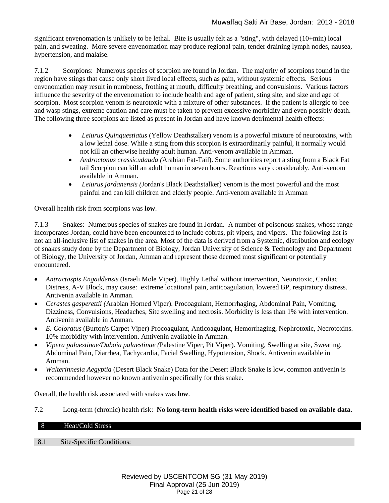significant envenomation is unlikely to be lethal. Bite is usually felt as a "sting", with delayed (10+min) local pain, and sweating. More severe envenomation may produce regional pain, tender draining lymph nodes, nausea, hypertension, and malaise.

7.1.2 Scorpions: Numerous species of scorpion are found in Jordan. The majority of scorpions found in the region have stings that cause only short lived local effects, such as pain, without systemic effects. Serious envenomation may result in numbness, frothing at mouth, difficulty breathing, and convulsions. Various factors influence the severity of the envenomation to include health and age of patient, sting site, and size and age of scorpion. Most scorpion venom is neurotoxic with a mixture of other substances. If the patient is allergic to bee and wasp stings, extreme caution and care must be taken to prevent excessive morbidity and even possibly death. The following three scorpions are listed as present in Jordan and have known detrimental health effects:

- *Leiurus Quinquestiatus* (Yellow Deathstalker) venom is a powerful mixture of neurotoxins, with a low lethal dose. While a sting from this scorpion is extraordinarily painful, it normally would not kill an otherwise healthy adult human. Anti-venom available in Amman.
- *Androctonus crassicudauda (*Arabian Fat-Tail). Some authorities report a sting from a Black Fat tail Scorpion can kill an adult human in seven hours. Reactions vary considerably. Anti-venom available in Amman.
- *Leiurus jordanensis (*Jordan's Black Deathstalker) venom is the most powerful and the most painful and can kill children and elderly people. Anti-venom available in Amman

Overall health risk from scorpions was **low**.

7.1.3 Snakes: Numerous species of snakes are found in Jordan. A number of poisonous snakes, whose range incorporates Jordan, could have been encountered to include cobras, pit vipers, and vipers. The following list is not an all-inclusive list of snakes in the area. Most of the data is derived from a Systemic, distribution and ecology of snakes study done by the Department of Biology, Jordan University of Science & Technology and Department of Biology, the University of Jordan, Amman and represent those deemed most significant or potentially encountered.

- *Antractaspis Engaddensis* (Israeli Mole Viper). Highly Lethal without intervention, Neurotoxic, Cardiac Distress, A-V Block, may cause: extreme locational pain, anticoagulation, lowered BP, respiratory distress. Antivenin available in Amman.
- *Cerastes gasperettii (*Arabian Horned Viper). Procoagulant, Hemorrhaging, Abdominal Pain, Vomiting, Dizziness, Convulsions, Headaches, Site swelling and necrosis. Morbidity is less than 1% with intervention. Antivenin available in Amman.
- *E. Coloratus* (Burton's Carpet Viper) Procoagulant, Anticoagulant, Hemorrhaging, Nephrotoxic, Necrotoxins. 10% morbidity with intervention. Antivenin available in Amman.
- *Vipera palaestinae/Daboia palaestinae (*Palestine Viper, Pit Viper). Vomiting, Swelling at site, Sweating, Abdominal Pain, Diarrhea, Tachycardia, Facial Swelling, Hypotension, Shock. Antivenin available in Amman.
- *Walterinnesia Aegyptia* (Desert Black Snake) Data for the Desert Black Snake is low, common antivenin is recommended however no known antivenin specifically for this snake.

Overall, the health risk associated with snakes was **low**.

7.2 Long-term (chronic) health risk: **No long-term health risks were identified based on available data.** 

# <span id="page-20-0"></span>8 Heat/Cold Stress

8.1 Site-Specific Conditions: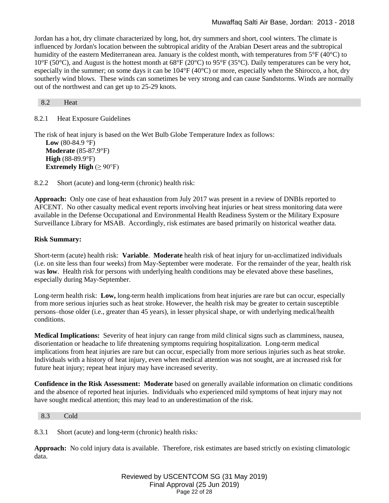Jordan has a hot, dry climate characterized by long, hot, dry summers and short, cool winters. The climate is influenced by Jordan's location between the subtropical aridity of the Arabian Desert areas and the subtropical humidity of the eastern Mediterranean area. January is the coldest month, with temperatures from 5°F (40°C) to 10°F (50°C), and August is the hottest month at 68°F (20°C) to 95°F (35°C). Daily temperatures can be very hot, especially in the summer; on some days it can be  $104^{\circ}F(40^{\circ}C)$  or more, especially when the Shirocco, a hot, dry southerly wind blows. These winds can sometimes be very strong and can cause Sandstorms. Winds are normally out of the northwest and can get up to 25-29 knots.

<span id="page-21-0"></span>8.2 Heat

8.2.1 Heat Exposure Guidelines

The risk of heat injury is based on the Wet Bulb Globe Temperature Index as follows: **Low** (80-84.9  $^{\circ}$ F) **Moderate** (85-87.9°F) **High** (88-89.9°F) **Extremely High**  $(≥ 90°F)$ 

8.2.2 Short (acute) and long-term (chronic) health risk:

**Approach:** Only one case of heat exhaustion from July 2017 was present in a review of DNBIs reported to AFCENT. No other casualty medical event reports involving heat injuries or heat stress monitoring data were available in the Defense Occupational and Environmental Health Readiness System or the Military Exposure Surveillance Library for MSAB. Accordingly, risk estimates are based primarily on historical weather data.

# **Risk Summary:**

Short-term (acute) health risk: **Variable**. **Moderate** health risk of heat injury for un-acclimatized individuals (i.e. on site less than four weeks) from May-September were moderate. For the remainder of the year, health risk was **low**. Health risk for persons with underlying health conditions may be elevated above these baselines, especially during May-September.

Long-term health risk: **Low,** long-term health implications from heat injuries are rare but can occur, especially from more serious injuries such as heat stroke. However, the health risk may be greater to certain susceptible persons–those older (i.e., greater than 45 years), in lesser physical shape, or with underlying medical/health conditions.

**Medical Implications:** Severity of heat injury can range from mild clinical signs such as clamminess, nausea, disorientation or headache to life threatening symptoms requiring hospitalization. Long-term medical implications from heat injuries are rare but can occur, especially from more serious injuries such as heat stroke. Individuals with a history of heat injury, even when medical attention was not sought, are at increased risk for future heat injury; repeat heat injury may have increased severity.

**Confidence in the Risk Assessment: Moderate** based on generally available information on climatic conditions and the absence of reported heat injuries. Individuals who experienced mild symptoms of heat injury may not have sought medical attention; this may lead to an underestimation of the risk.

#### <span id="page-21-1"></span>8.3 Cold

8.3.1 Short (acute) and long-term (chronic) health risks*:* 

**Approach:** No cold injury data is available. Therefore, risk estimates are based strictly on existing climatologic data.

> Reviewed by USCENTCOM SG (31 May 2019) Final Approval (25 Jun 2019) Page 22 of 28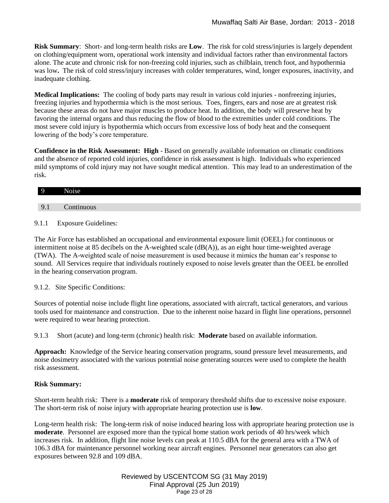**Risk Summary**: Short- and long-term health risks are **Low**. The risk for cold stress/injuries is largely dependent on clothing/equipment worn, operational work intensity and individual factors rather than environmental factors alone. The acute and chronic risk for non-freezing cold injuries, such as chilblain, trench foot, and hypothermia was low**.** The risk of cold stress/injury increases with colder temperatures, wind, longer exposures, inactivity, and inadequate clothing.

**Medical Implications:** The cooling of body parts may result in various cold injuries - nonfreezing injuries, freezing injuries and hypothermia which is the most serious. Toes, fingers, ears and nose are at greatest risk because these areas do not have major muscles to produce heat. In addition, the body will preserve heat by favoring the internal organs and thus reducing the flow of blood to the extremities under cold conditions. The most severe cold injury is hypothermia which occurs from excessive loss of body heat and the consequent lowering of the body's core temperature.

**Confidence in the Risk Assessment: High** - Based on generally available information on climatic conditions and the absence of reported cold injuries, confidence in risk assessment is high. Individuals who experienced mild symptoms of cold injury may not have sought medical attention. This may lead to an underestimation of the risk.

<span id="page-22-1"></span><span id="page-22-0"></span>

|                                      | ÷<br>ļ<br>۱۵100 |
|--------------------------------------|-----------------|
|                                      |                 |
| $\Omega$<br>$\overline{\phantom{a}}$ | $n_{\rm n}$     |

# 9.1.1 Exposure Guidelines:

The Air Force has established an occupational and environmental exposure limit (OEEL) for continuous or intermittent noise at 85 decibels on the A-weighted scale  $(dB(A))$ , as an eight hour time-weighted average (TWA). The A-weighted scale of noise measurement is used because it mimics the human ear's response to sound. All Services require that individuals routinely exposed to noise levels greater than the OEEL be enrolled in the hearing conservation program.

# 9.1.2. Site Specific Conditions:

Sources of potential noise include flight line operations, associated with aircraft, tactical generators, and various tools used for maintenance and construction. Due to the inherent noise hazard in flight line operations, personnel were required to wear hearing protection.

9.1.3 Short (acute) and long-term (chronic) health risk: **Moderate** based on available information.

**Approach:** Knowledge of the Service hearing conservation programs, sound pressure level measurements, and noise dosimetry associated with the various potential noise generating sources were used to complete the health risk assessment.

# **Risk Summary:**

Short-term health risk: There is a **moderate** risk of temporary threshold shifts due to excessive noise exposure. The short-term risk of noise injury with appropriate hearing protection use is **low**.

Long-term health risk: The long-term risk of noise induced hearing loss with appropriate hearing protection use is **moderate**. Personnel are exposed more than the typical home station work periods of 40 hrs/week which increases risk. In addition, flight line noise levels can peak at 110.5 dBA for the general area with a TWA of 106.3 dBA for maintenance personnel working near aircraft engines. Personnel near generators can also get exposures between 92.8 and 109 dBA.

> Reviewed by USCENTCOM SG (31 May 2019) Final Approval (25 Jun 2019) Page 23 of 28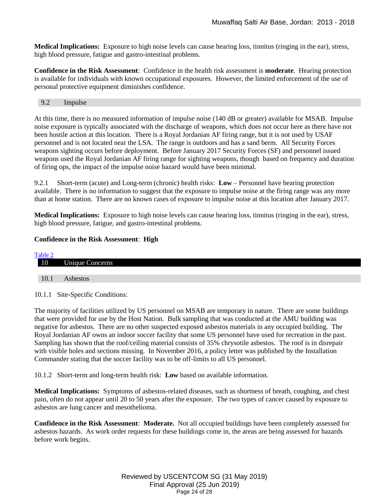**Medical Implications:** Exposure to high noise levels can cause hearing loss, tinnitus (ringing in the ear), stress, high blood pressure, fatigue and gastro-intestinal problems.

**Confidence in the Risk Assessment**: Confidence in the health risk assessment is **moderate**. Hearing protection is available for individuals with known occupational exposures. However, the limited enforcement of the use of personal protective equipment diminishes confidence.

#### <span id="page-23-0"></span>9.2 Impulse

At this time, there is no measured information of impulse noise (140 dB or greater) available for MSAB. Impulse noise exposure is typically associated with the discharge of weapons, which does not occur here as there have not been hostile action at this location. There is a Royal Jordanian AF firing range, but it is not used by USAF personnel and is not located near the LSA. The range is outdoors and has a sand berm. All Security Forces weapons sighting occurs before deployment. Before January 2017 Security Forces (SF) and personnel issued weapons used the Royal Jordanian AF firing range for sighting weapons, though based on frequency and duration of firing ops, the impact of the impulse noise hazard would have been minimal.

9.2.1 Short-term (acute) and Long-term (chronic) health risks: **Low** – Personnel have hearing protection available. There is no information to suggest that the exposure to impulse noise at the firing range was any more than at home station. There are no known cases of exposure to impulse noise at this location after January 2017.

**Medical Implications:** Exposure to high noise levels can cause hearing loss, tinnitus (ringing in the ear), stress, high blood pressure, fatigue, and gastro-intestinal problems.

### **Confidence in the Risk Assessment**: **High**

<span id="page-23-1"></span>

| Table 2 |                        |
|---------|------------------------|
| 10      | <b>Unique Concerns</b> |
|         |                        |
| 10.1    | Asbestos               |

<span id="page-23-2"></span>10.1.1 Site-Specific Conditions:

The majority of facilities utilized by US personnel on MSAB are temporary in nature. There are some buildings that were provided for use by the Host Nation. Bulk sampling that was conducted at the AMU building was negative for asbestos. There are no other suspected exposed asbestos materials in any occupied building. The Royal Jordanian AF owns an indoor soccer facility that some US personnel have used for recreation in the past. Sampling has shown that the roof/ceiling material consists of 35% chrysotile asbestos. The roof is in disrepair with visible holes and sections missing. In November 2016, a policy letter was published by the Installation Commander stating that the soccer facility was to be off-limits to all US personnel.

10.1.2 Short-term and long-term health risk: **Low** based on available information.

**Medical Implications:** Symptoms of asbestos-related diseases, such as shortness of breath, coughing, and chest pain, often do not appear until 20 to 50 years after the exposure. The two types of cancer caused by exposure to asbestos are lung cancer and mesothelioma.

**Confidence in the Risk Assessment**: **Moderate.** Not all occupied buildings have been completely assessed for asbestos hazards. As work order requests for these buildings come in, the areas are being assessed for hazards before work begins.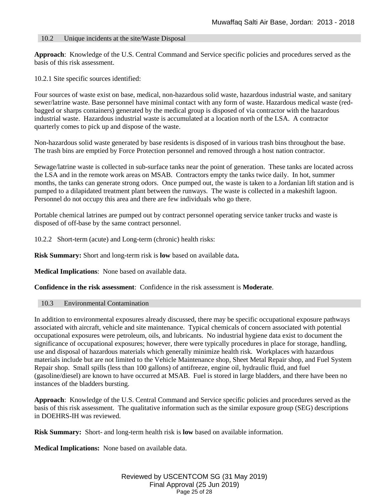# <span id="page-24-0"></span>10.2 Unique incidents at the site/Waste Disposal

**Approach**: Knowledge of the U.S. Central Command and Service specific policies and procedures served as the basis of this risk assessment.

10.2.1 Site specific sources identified:

Four sources of waste exist on base, medical, non-hazardous solid waste, hazardous industrial waste, and sanitary sewer/latrine waste. Base personnel have minimal contact with any form of waste. Hazardous medical waste (redbagged or sharps containers) generated by the medical group is disposed of via contractor with the hazardous industrial waste. Hazardous industrial waste is accumulated at a location north of the LSA. A contractor quarterly comes to pick up and dispose of the waste.

Non-hazardous solid waste generated by base residents is disposed of in various trash bins throughout the base. The trash bins are emptied by Force Protection personnel and removed through a host nation contractor.

Sewage/latrine waste is collected in sub-surface tanks near the point of generation. These tanks are located across the LSA and in the remote work areas on MSAB. Contractors empty the tanks twice daily. In hot, summer months, the tanks can generate strong odors. Once pumped out, the waste is taken to a Jordanian lift station and is pumped to a dilapidated treatment plant between the runways. The waste is collected in a makeshift lagoon. Personnel do not occupy this area and there are few individuals who go there.

Portable chemical latrines are pumped out by contract personnel operating service tanker trucks and waste is disposed of off-base by the same contract personnel.

10.2.2 Short-term (acute) and Long-term (chronic) health risks:

**Risk Summary:** Short and long-term risk is **low** based on available data**.**

**Medical Implications**: None based on available data.

**Confidence in the risk assessment**: Confidence in the risk assessment is **Moderate**.

#### <span id="page-24-1"></span>10.3 Environmental Contamination

In addition to environmental exposures already discussed, there may be specific occupational exposure pathways associated with aircraft, vehicle and site maintenance. Typical chemicals of concern associated with potential occupational exposures were petroleum, oils, and lubricants. No industrial hygiene data exist to document the significance of occupational exposures; however, there were typically procedures in place for storage, handling, use and disposal of hazardous materials which generally minimize health risk. Workplaces with hazardous materials include but are not limited to the Vehicle Maintenance shop, Sheet Metal Repair shop, and Fuel System Repair shop. Small spills (less than 100 gallons) of antifreeze, engine oil, hydraulic fluid, and fuel (gasoline/diesel) are known to have occurred at MSAB. Fuel is stored in large bladders, and there have been no instances of the bladders bursting.

**Approach**: Knowledge of the U.S. Central Command and Service specific policies and procedures served as the basis of this risk assessment. The qualitative information such as the similar exposure group (SEG) descriptions in DOEHRS-IH was reviewed.

**Risk Summary:** Short- and long-term health risk is **low** based on available information.

**Medical Implications:** None based on available data.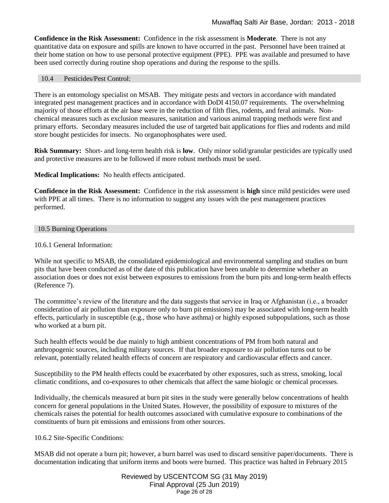**Confidence in the Risk Assessment:** Confidence in the risk assessment is **Moderate**. There is not any quantitative data on exposure and spills are known to have occurred in the past. Personnel have been trained at their home station on how to use personal protective equipment (PPE). PPE was available and presumed to have been used correctly during routine shop operations and during the response to the spills.

# <span id="page-25-0"></span>10.4 Pesticides/Pest Control:

There is an entomology specialist on MSAB. They mitigate pests and vectors in accordance with mandated integrated pest management practices and in accordance with DoDI 4150.07 requirements. The overwhelming majority of those efforts at the air base were in the reduction of filth flies, rodents, and feral animals. Nonchemical measures such as exclusion measures, sanitation and various animal trapping methods were first and primary efforts. Secondary measures included the use of targeted bait applications for flies and rodents and mild store bought pesticides for insects. No organophosphates were used.

**Risk Summary:** Short- and long-term health risk is **low**. Only minor solid/granular pesticides are typically used and protective measures are to be followed if more robust methods must be used.

**Medical Implications:** No health effects anticipated.

**Confidence in the Risk Assessment:** Confidence in the risk assessment is **high** since mild pesticides were used with PPE at all times. There is no information to suggest any issues with the pest management practices performed.

<span id="page-25-1"></span>10.5 Burning Operations

10.6.1 General Information:

While not specific to MSAB, the consolidated epidemiological and environmental sampling and studies on burn pits that have been conducted as of the date of this publication have been unable to determine whether an association does or does not exist between exposures to emissions from the burn pits and long-term health effects (Reference 7).

The committee's review of the literature and the data suggests that service in Iraq or Afghanistan (i.e., a broader consideration of air pollution than exposure only to burn pit emissions) may be associated with long-term health effects, particularly in susceptible (e.g., those who have asthma) or highly exposed subpopulations, such as those who worked at a burn pit.

Such health effects would be due mainly to high ambient concentrations of PM from both natural and anthropogenic sources, including military sources. If that broader exposure to air pollution turns out to be relevant, potentially related health effects of concern are respiratory and cardiovascular effects and cancer.

Susceptibility to the PM health effects could be exacerbated by other exposures, such as stress, smoking, local climatic conditions, and co-exposures to other chemicals that affect the same biologic or chemical processes.

Individually, the chemicals measured at burn pit sites in the study were generally below concentrations of health concern for general populations in the United States. However, the possibility of exposure to mixtures of the chemicals raises the potential for health outcomes associated with cumulative exposure to combinations of the constituents of burn pit emissions and emissions from other sources.

10.6.2 Site-Specific Conditions:

MSAB did not operate a burn pit; however, a burn barrel was used to discard sensitive paper/documents. There is documentation indicating that uniform items and boots were burned. This practice was halted in February 2015

> Reviewed by USCENTCOM SG (31 May 2019) Final Approval (25 Jun 2019) Page 26 of 28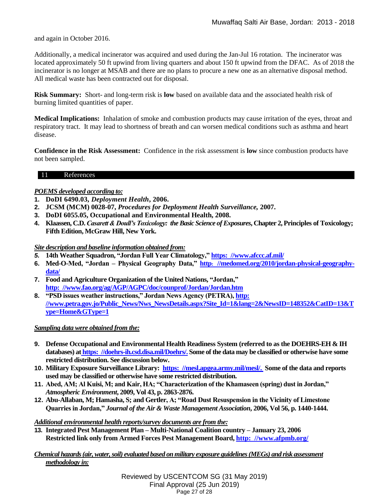and again in October 2016.

Additionally, a medical incinerator was acquired and used during the Jan-Jul 16 rotation. The incinerator was located approximately 50 ft upwind from living quarters and about 150 ft upwind from the DFAC. As of 2018 the incinerator is no longer at MSAB and there are no plans to procure a new one as an alternative disposal method. All medical waste has been contracted out for disposal.

**Risk Summary:** Short- and long-term risk is **low** based on available data and the associated health risk of burning limited quantities of paper.

**Medical Implications:** Inhalation of smoke and combustion products may cause irritation of the eyes, throat and respiratory tract. It may lead to shortness of breath and can worsen medical conditions such as asthma and heart disease.

**Confidence in the Risk Assessment:** Confidence in the risk assessment is **low** since combustion products have not been sampled.

### 11 References

# *POEMS developed according to:*

- **1. DoDI 6490.03,** *Deployment Health***, 2006.**
- **2. JCSM (MCM) 0028-07,** *Procedures for Deployment Health Surveillance,* **2007.**
- **3. DoDI 6055.05, Occupational and Environmental Health, 2008.**
- **4. Klaassen, C.D.** *Casarett & Doull's Toxicology: the Basic Science of Exposures***, Chapter 2, Principles of Toxicology; Fifth Edition, McGraw Hill, New York.**

*Site description and baseline information obtained from:* 

- *5.* **14th Weather Squadron, "Jordan Full Year Climatology," [https: //www.afccc.af.mil/](https://www.afccc.af.mil/)**
- **6. Med-O-Med, "Jordan – Physical Geography Data," http: [//medomed.org/2010/jordan-physical-geography](http://medomed.org/2010/jordan-physical-geography-data/)[data/](http://medomed.org/2010/jordan-physical-geography-data/)**
- **7. Food and Agriculture Organization of the United Nations, "Jordan," [http: //www.fao.org/ag/AGP/AGPC/doc/counprof/Jordan/Jordan.htm](http://www.fao.org/ag/AGP/AGPC/doc/counprof/Jordan/Jordan.htm)**
- **8. "PSD issues weather instructions," Jordan News Agency (PETRA), [http:](http://www.petra.gov.jo/Public_News/Nws_NewsDetails.aspx?Site_Id=1&lang=2&NewsID=148352&CatID=13&Type=Home>ype=1)  [//www.petra.gov.jo/Public\\_News/Nws\\_NewsDetails.aspx?Site\\_Id=1&lang=2&NewsID=148352&CatID=13&T](http://www.petra.gov.jo/Public_News/Nws_NewsDetails.aspx?Site_Id=1&lang=2&NewsID=148352&CatID=13&Type=Home>ype=1) [ype=Home&GType=1](http://www.petra.gov.jo/Public_News/Nws_NewsDetails.aspx?Site_Id=1&lang=2&NewsID=148352&CatID=13&Type=Home>ype=1)**

# *Sampling data were obtained from the:*

- **9. Defense Occupational and Environmental Health Readiness System (referred to as the DOEHRS-EH & IH databases) at [https: //doehrs-ih.csd.disa.mil/Doehrs/.](https://doehrs-ih.csd.disa.mil/Doehrs/) Some of the data may be classified or otherwise have some restricted distribution. See discussion below.**
- **10. Military Exposure Surveillance Library: [https: //mesl.apgea.army.mil/mesl/.](https://mesl.apgea.army.mil/mesl/) Some of the data and reports used may be classified or otherwise have some restricted distribution.**
- **11. Abed, AM; Al Kuisi, M; and Kair, HA; "Characterization of the Khamaseen (spring) dust in Jordan,"** *Atmospheric Environment***, 2009, Vol 43, p. 2863-2876.**
- **12. Abu-Allaban, M; Hamasha, S; and Gertler, A; "Road Dust Resuspension in the Vicinity of Limestone Quarries in Jordan,"** *Journal of the Air & Waste Management Association***, 2006, Vol 56, p. 1440-1444.**

#### *Additional environmental health reports/survey documents are from the:*

**13. Integrated Pest Management Plan – Multi-National Coalition country – January 23, 2006 Restricted link only from Armed Forces Pest Management Board, [http: //www.afpmb.org/](http://www.afpmb.org/)**

# *Chemical hazards (air, water, soil) evaluated based on military exposure guidelines (MEGs) and risk assessment methodology in:*